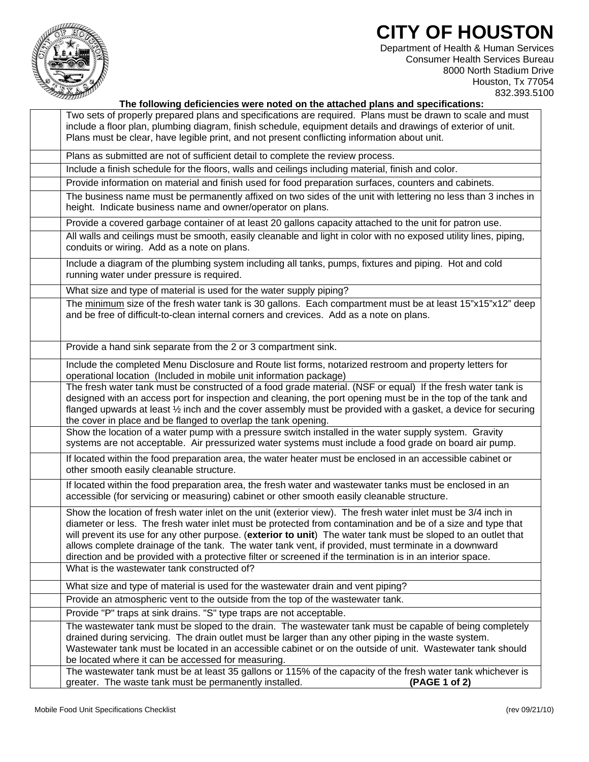## **CITY OF HOUSTON**



Department of Health & Human Services Consumer Health Services Bureau 8000 North Stadium Drive Houston, Tx 77054 832.393.5100

| 18888882V<br>The following deficiencies were noted on the attached plans and specifications:                                                                                                                                                                                                                                                                                                                                                                                                                                                                         |
|----------------------------------------------------------------------------------------------------------------------------------------------------------------------------------------------------------------------------------------------------------------------------------------------------------------------------------------------------------------------------------------------------------------------------------------------------------------------------------------------------------------------------------------------------------------------|
| Two sets of properly prepared plans and specifications are required. Plans must be drawn to scale and must<br>include a floor plan, plumbing diagram, finish schedule, equipment details and drawings of exterior of unit.<br>Plans must be clear, have legible print, and not present conflicting information about unit.                                                                                                                                                                                                                                           |
| Plans as submitted are not of sufficient detail to complete the review process.                                                                                                                                                                                                                                                                                                                                                                                                                                                                                      |
| Include a finish schedule for the floors, walls and ceilings including material, finish and color.                                                                                                                                                                                                                                                                                                                                                                                                                                                                   |
| Provide information on material and finish used for food preparation surfaces, counters and cabinets.                                                                                                                                                                                                                                                                                                                                                                                                                                                                |
| The business name must be permanently affixed on two sides of the unit with lettering no less than 3 inches in<br>height. Indicate business name and owner/operator on plans.                                                                                                                                                                                                                                                                                                                                                                                        |
| Provide a covered garbage container of at least 20 gallons capacity attached to the unit for patron use.                                                                                                                                                                                                                                                                                                                                                                                                                                                             |
| All walls and ceilings must be smooth, easily cleanable and light in color with no exposed utility lines, piping,<br>conduits or wiring. Add as a note on plans.                                                                                                                                                                                                                                                                                                                                                                                                     |
| Include a diagram of the plumbing system including all tanks, pumps, fixtures and piping. Hot and cold<br>running water under pressure is required.                                                                                                                                                                                                                                                                                                                                                                                                                  |
| What size and type of material is used for the water supply piping?                                                                                                                                                                                                                                                                                                                                                                                                                                                                                                  |
| The minimum size of the fresh water tank is 30 gallons. Each compartment must be at least 15"x15"x12" deep<br>and be free of difficult-to-clean internal corners and crevices. Add as a note on plans.                                                                                                                                                                                                                                                                                                                                                               |
| Provide a hand sink separate from the 2 or 3 compartment sink.                                                                                                                                                                                                                                                                                                                                                                                                                                                                                                       |
| Include the completed Menu Disclosure and Route list forms, notarized restroom and property letters for<br>operational location (Included in mobile unit information package)                                                                                                                                                                                                                                                                                                                                                                                        |
| The fresh water tank must be constructed of a food grade material. (NSF or equal) If the fresh water tank is<br>designed with an access port for inspection and cleaning, the port opening must be in the top of the tank and<br>flanged upwards at least 1/2 inch and the cover assembly must be provided with a gasket, a device for securing<br>the cover in place and be flanged to overlap the tank opening.                                                                                                                                                    |
| Show the location of a water pump with a pressure switch installed in the water supply system. Gravity<br>systems are not acceptable. Air pressurized water systems must include a food grade on board air pump.                                                                                                                                                                                                                                                                                                                                                     |
| If located within the food preparation area, the water heater must be enclosed in an accessible cabinet or<br>other smooth easily cleanable structure.                                                                                                                                                                                                                                                                                                                                                                                                               |
| If located within the food preparation area, the fresh water and wastewater tanks must be enclosed in an<br>accessible (for servicing or measuring) cabinet or other smooth easily cleanable structure.                                                                                                                                                                                                                                                                                                                                                              |
| Show the location of fresh water inlet on the unit (exterior view). The fresh water inlet must be 3/4 inch in<br>diameter or less. The fresh water inlet must be protected from contamination and be of a size and type that<br>will prevent its use for any other purpose. (exterior to unit) The water tank must be sloped to an outlet that<br>allows complete drainage of the tank. The water tank vent, if provided, must terminate in a downward<br>direction and be provided with a protective filter or screened if the termination is in an interior space. |
| What is the wastewater tank constructed of?                                                                                                                                                                                                                                                                                                                                                                                                                                                                                                                          |
| What size and type of material is used for the wastewater drain and vent piping?                                                                                                                                                                                                                                                                                                                                                                                                                                                                                     |
| Provide an atmospheric vent to the outside from the top of the wastewater tank.                                                                                                                                                                                                                                                                                                                                                                                                                                                                                      |
| Provide "P" traps at sink drains. "S" type traps are not acceptable.                                                                                                                                                                                                                                                                                                                                                                                                                                                                                                 |
| The wastewater tank must be sloped to the drain. The wastewater tank must be capable of being completely<br>drained during servicing. The drain outlet must be larger than any other piping in the waste system.<br>Wastewater tank must be located in an accessible cabinet or on the outside of unit. Wastewater tank should<br>be located where it can be accessed for measuring.                                                                                                                                                                                 |
| The wastewater tank must be at least 35 gallons or 115% of the capacity of the fresh water tank whichever is<br>greater. The waste tank must be permanently installed.<br>(PAGE 1 of 2)                                                                                                                                                                                                                                                                                                                                                                              |